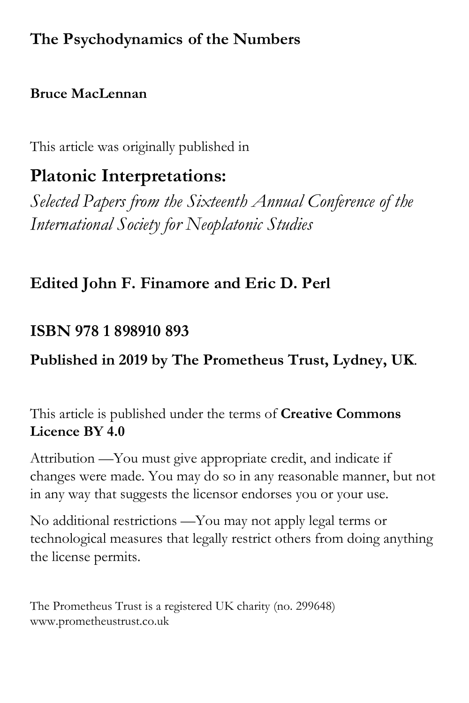# **The Psychodynamics of the Numbers**

### **Bruce MacLennan**

This article was originally published in

# **Platonic Interpretations:**

*Selected Papers from the Sixteenth Annual Conference of the International Society for Neoplatonic Studies*

## **Edited John F. Finamore and Eric D. Perl**

## **ISBN 978 1 898910 893**

## **Published in 2019 by The Prometheus Trust, Lydney, UK**.

This article is published under the terms of **Creative Commons Licence BY 4.0**

Attribution —You must give appropriate credit, and indicate if changes were made. You may do so in any reasonable manner, but not in any way that suggests the licensor endorses you or your use.

No additional restrictions —You may not apply legal terms or technological measures that legally restrict others from doing anything the license permits.

The Prometheus Trust is a registered UK charity (no. 299648) www.prometheustrust.co.uk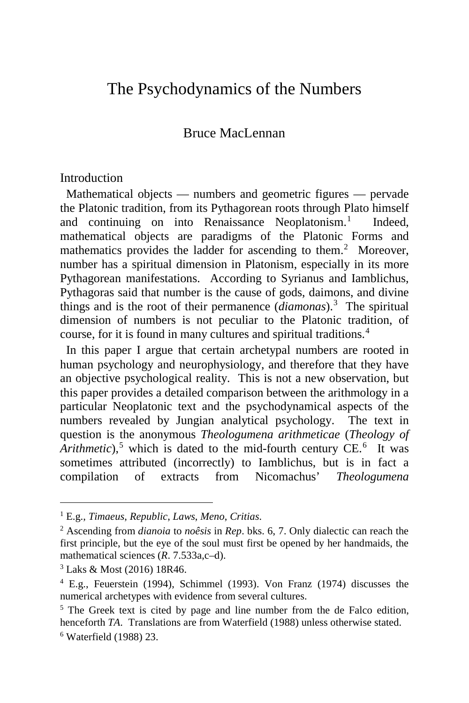### The Psychodynamics of the Numbers

#### Bruce MacLennan

#### Introduction

 Mathematical objects — numbers and geometric figures — pervade the Platonic tradition, from its Pythagorean roots through Plato himself and continuing on into Renaissance Neoplatonism.<sup>[1](#page-1-0)</sup> Indeed, mathematical objects are paradigms of the Platonic Forms and mathematics provides the ladder for ascending to them.<sup>[2](#page-1-1)</sup> Moreover, number has a spiritual dimension in Platonism, especially in its more Pythagorean manifestations. According to Syrianus and Iamblichus, Pythagoras said that number is the cause of gods, daimons, and divine things and is the root of their permanence (*diamonas*).[3](#page-1-2) The spiritual dimension of numbers is not peculiar to the Platonic tradition, of course, for it is found in many cultures and spiritual traditions.[4](#page-1-3)

 In this paper I argue that certain archetypal numbers are rooted in human psychology and neurophysiology, and therefore that they have an objective psychological reality. This is not a new observation, but this paper provides a detailed comparison between the arithmology in a particular Neoplatonic text and the psychodynamical aspects of the numbers revealed by Jungian analytical psychology. The text in question is the anonymous *Theologumena arithmeticae* (*Theology of Arithmetic*),<sup>[5](#page-1-4)</sup> which is dated to the mid-fourth century  $CE^6$  $CE^6$  It was sometimes attributed (incorrectly) to Iamblichus, but is in fact a compilation of extracts from Nicomachus' *Theologumena* 

i,

<sup>1</sup> E.g., *Timaeus*, *Republic*, *Laws*, *Meno*, *Critias*.

<span id="page-1-1"></span><span id="page-1-0"></span><sup>2</sup> Ascending from *dianoia* to *noêsis* in *Rep*. bks. 6, 7. Only dialectic can reach the first principle, but the eye of the soul must first be opened by her handmaids, the mathematical sciences (*R*. 7.533a,c–d).

<span id="page-1-2"></span><sup>3</sup> Laks & Most (2016) 18R46.

<span id="page-1-3"></span><sup>4</sup> E.g., Feuerstein (1994), Schimmel (1993). Von Franz (1974) discusses the numerical archetypes with evidence from several cultures.

<span id="page-1-5"></span><span id="page-1-4"></span><sup>&</sup>lt;sup>5</sup> The Greek text is cited by page and line number from the de Falco edition, henceforth *TA*. Translations are from Waterfield (1988) unless otherwise stated. <sup>6</sup> Waterfield (1988) 23.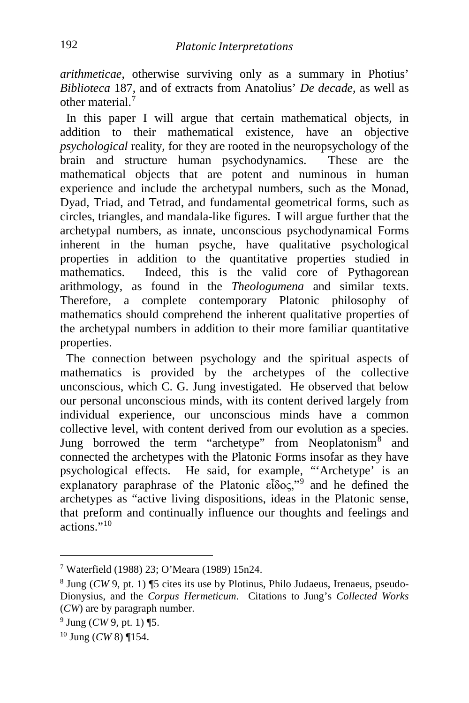*arithmeticae*, otherwise surviving only as a summary in Photius' *Biblioteca* 187, and of extracts from Anatolius' *De decade*, as well as other material.[7](#page-2-0)

 In this paper I will argue that certain mathematical objects, in addition to their mathematical existence, have an objective *psychological* reality, for they are rooted in the neuropsychology of the brain and structure human psychodynamics. These are the mathematical objects that are potent and numinous in human experience and include the archetypal numbers, such as the Monad, Dyad, Triad, and Tetrad, and fundamental geometrical forms, such as circles, triangles, and mandala-like figures. I will argue further that the archetypal numbers, as innate, unconscious psychodynamical Forms inherent in the human psyche, have qualitative psychological properties in addition to the quantitative properties studied in mathematics. Indeed, this is the valid core of Pythagorean arithmology, as found in the *Theologumena* and similar texts. Therefore, a complete contemporary Platonic philosophy of mathematics should comprehend the inherent qualitative properties of the archetypal numbers in addition to their more familiar quantitative properties.

 The connection between psychology and the spiritual aspects of mathematics is provided by the archetypes of the collective unconscious, which C. G. Jung investigated. He observed that below our personal unconscious minds, with its content derived largely from individual experience, our unconscious minds have a common collective level, with content derived from our evolution as a species. Jung borrowed the term "archetype" from Neoplatonism $\delta$  and connected the archetypes with the Platonic Forms insofar as they have psychological effects. He said, for example, "'Archetype' is an explanatory paraphrase of the Platonic  $\epsilon \tilde{i} \delta \tilde{o} \zeta$ ,<sup>"[9](#page-2-2)</sup> and he defined the archetypes as "active living dispositions, ideas in the Platonic sense, that preform and continually influence our thoughts and feelings and actions. $10$ 

<span id="page-2-0"></span><sup>7</sup> Waterfield (1988) 23; O'Meara (1989) 15n24.

<span id="page-2-1"></span><sup>8</sup> Jung (*CW* 9, pt. 1) ¶5 cites its use by Plotinus, Philo Judaeus, Irenaeus, pseudo-Dionysius, and the *Corpus Hermeticum*. Citations to Jung's *Collected Works* (*CW*) are by paragraph number.

<span id="page-2-2"></span><sup>9</sup> Jung (*CW* 9, pt. 1) ¶5.

<span id="page-2-3"></span><sup>10</sup> Jung (*CW* 8) ¶154.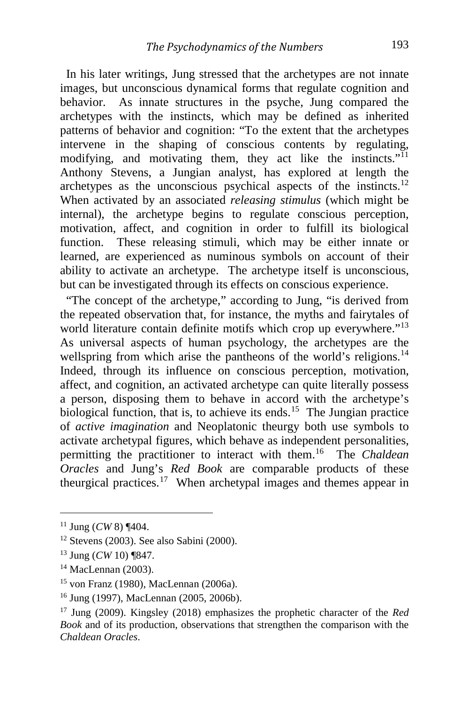In his later writings, Jung stressed that the archetypes are not innate images, but unconscious dynamical forms that regulate cognition and behavior. As innate structures in the psyche, Jung compared the archetypes with the instincts, which may be defined as inherited patterns of behavior and cognition: "To the extent that the archetypes intervene in the shaping of conscious contents by regulating, modifying, and motivating them, they act like the instincts."[11](#page-3-0) Anthony Stevens, a Jungian analyst, has explored at length the archetypes as the unconscious psychical aspects of the instincts.<sup>[12](#page-3-1)</sup> When activated by an associated *releasing stimulus* (which might be internal), the archetype begins to regulate conscious perception, motivation, affect, and cognition in order to fulfill its biological function. These releasing stimuli, which may be either innate or learned, are experienced as numinous symbols on account of their ability to activate an archetype. The archetype itself is unconscious, but can be investigated through its effects on conscious experience.

"The concept of the archetype," according to Jung, "is derived from the repeated observation that, for instance, the myths and fairytales of world literature contain definite motifs which crop up everywhere."<sup>[13](#page-3-2)</sup> As universal aspects of human psychology, the archetypes are the wellspring from which arise the pantheons of the world's religions.<sup>[14](#page-3-3)</sup> Indeed, through its influence on conscious perception, motivation, affect, and cognition, an activated archetype can quite literally possess a person, disposing them to behave in accord with the archetype's biological function, that is, to achieve its ends.<sup>[15](#page-3-4)</sup> The Jungian practice of *active imagination* and Neoplatonic theurgy both use symbols to activate archetypal figures, which behave as independent personalities, permitting the practitioner to interact with them.[16](#page-3-5) The *Chaldean Oracles* and Jung's *Red Book* are comparable products of these theurgical practices.<sup>[17](#page-3-6)</sup> When archetypal images and themes appear in

<span id="page-3-0"></span><sup>11</sup> Jung (*CW* 8) ¶404.

<span id="page-3-1"></span> $12$  Stevens (2003). See also Sabini (2000).

<span id="page-3-2"></span><sup>13</sup> Jung (*CW* 10) ¶847.

<span id="page-3-3"></span> $14$  MacLennan (2003).

<span id="page-3-4"></span><sup>15</sup> von Franz (1980), MacLennan (2006a).

<span id="page-3-5"></span><sup>16</sup> Jung (1997), MacLennan (2005, 2006b).

<span id="page-3-6"></span><sup>17</sup> Jung (2009). Kingsley (2018) emphasizes the prophetic character of the *Red Book* and of its production, observations that strengthen the comparison with the *Chaldean Oracles*.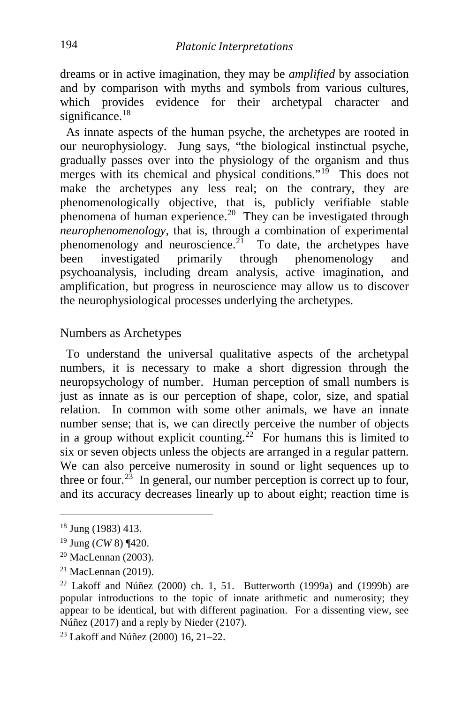dreams or in active imagination, they may be *amplified* by association and by comparison with myths and symbols from various cultures, which provides evidence for their archetypal character and significance. $18$ 

 As innate aspects of the human psyche, the archetypes are rooted in our neurophysiology. Jung says, "the biological instinctual psyche, gradually passes over into the physiology of the organism and thus merges with its chemical and physical conditions."<sup>[19](#page-4-1)</sup> This does not make the archetypes any less real; on the contrary, they are phenomenologically objective, that is, publicly verifiable stable phenomena of human experience.<sup>[20](#page-4-2)</sup> They can be investigated through *neurophenomenology*, that is, through a combination of experimental phenomenology and neuroscience.<sup>[21](#page-4-3)</sup> To date, the archetypes have been investigated primarily through phenomenology and psychoanalysis, including dream analysis, active imagination, and amplification, but progress in neuroscience may allow us to discover the neurophysiological processes underlying the archetypes.

#### Numbers as Archetypes

 To understand the universal qualitative aspects of the archetypal numbers, it is necessary to make a short digression through the neuropsychology of number. Human perception of small numbers is just as innate as is our perception of shape, color, size, and spatial relation. In common with some other animals, we have an innate number sense; that is, we can directly perceive the number of objects in a group without explicit counting.<sup>[22](#page-4-4)</sup> For humans this is limited to six or seven objects unless the objects are arranged in a regular pattern. We can also perceive numerosity in sound or light sequences up to three or four.<sup>[23](#page-4-5)</sup> In general, our number perception is correct up to four, and its accuracy decreases linearly up to about eight; reaction time is

<span id="page-4-0"></span><sup>18</sup> Jung (1983) 413.

<span id="page-4-1"></span><sup>19</sup> Jung (*CW* 8) ¶420.

<span id="page-4-2"></span><sup>20</sup> MacLennan (2003).

<span id="page-4-3"></span> $21$  MacLennan (2019).

<span id="page-4-4"></span> $22$  Lakoff and Núñez (2000) ch. 1, 51. Butterworth (1999a) and (1999b) are popular introductions to the topic of innate arithmetic and numerosity; they appear to be identical, but with different pagination. For a dissenting view, see Núñez (2017) and a reply by Nieder (2107).

<span id="page-4-5"></span> $23$  Lakoff and Núñez (2000) 16, 21–22.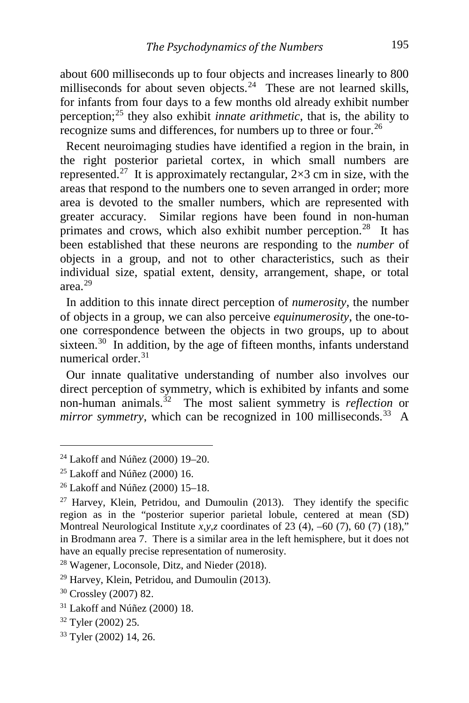about 600 milliseconds up to four objects and increases linearly to 800 milliseconds for about seven objects.<sup>24</sup> These are not learned skills, for infants from four days to a few months old already exhibit number perception;[25](#page-5-1) they also exhibit *innate arithmetic*, that is, the ability to recognize sums and differences, for numbers up to three or four.<sup>[26](#page-5-2)</sup>

 Recent neuroimaging studies have identified a region in the brain, in the right posterior parietal cortex, in which small numbers are represented.<sup>27</sup> It is approximately rectangular,  $2\times 3$  cm in size, with the areas that respond to the numbers one to seven arranged in order; more area is devoted to the smaller numbers, which are represented with greater accuracy. Similar regions have been found in non-human primates and crows, which also exhibit number perception.<sup>[28](#page-5-4)</sup> It has been established that these neurons are responding to the *number* of objects in a group, and not to other characteristics, such as their individual size, spatial extent, density, arrangement, shape, or total area.[29](#page-5-5)

 In addition to this innate direct perception of *numerosity*, the number of objects in a group, we can also perceive *equinumerosity*, the one-toone correspondence between the objects in two groups, up to about sixteen.<sup>[30](#page-5-6)</sup> In addition, by the age of fifteen months, infants understand numerical order.<sup>[31](#page-5-7)</sup>

 Our innate qualitative understanding of number also involves our direct perception of symmetry, which is exhibited by infants and some non-human animals.[32](#page-5-8) The most salient symmetry is *reflection* or *mirror symmetry*, which can be recognized in 100 milliseconds.<sup>33</sup> A

i,

<span id="page-5-9"></span><sup>33</sup> Tyler (2002) 14, 26.

<sup>24</sup> Lakoff and Núñez (2000) 19–20.

<span id="page-5-1"></span><span id="page-5-0"></span> $25$  Lakoff and Núñez (2000) 16.

<span id="page-5-2"></span><sup>26</sup> Lakoff and Núñez (2000) 15–18.

<span id="page-5-3"></span> $27$  Harvey, Klein, Petridou, and Dumoulin (2013). They identify the specific region as in the "posterior superior parietal lobule, centered at mean (SD) Montreal Neurological Institute  $x, y, z$  coordinates of 23 (4),  $-60$  (7), 60 (7) (18)," in Brodmann area 7. There is a similar area in the left hemisphere, but it does not have an equally precise representation of numerosity.

<span id="page-5-4"></span><sup>28</sup> Wagener, Loconsole, Ditz, and Nieder (2018).

<span id="page-5-5"></span><sup>29</sup> Harvey, Klein, Petridou, and Dumoulin (2013).

<span id="page-5-6"></span><sup>30</sup> Crossley (2007) 82.

<span id="page-5-7"></span><sup>31</sup> Lakoff and Núñez (2000) 18.

<span id="page-5-8"></span><sup>32</sup> Tyler (2002) 25.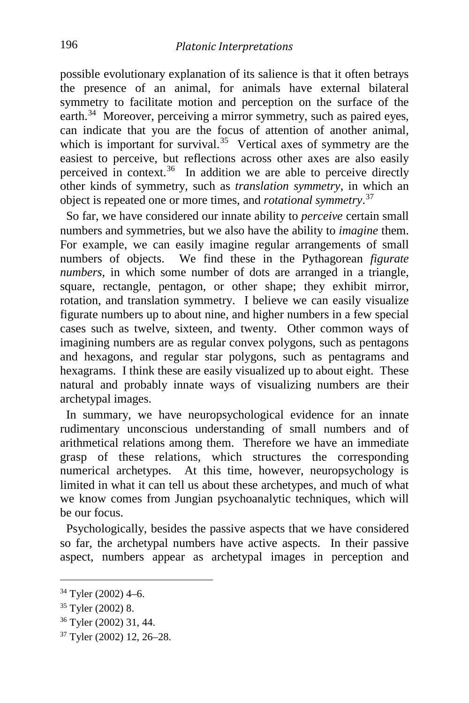possible evolutionary explanation of its salience is that it often betrays the presence of an animal, for animals have external bilateral symmetry to facilitate motion and perception on the surface of the earth.<sup>34</sup> Moreover, perceiving a mirror symmetry, such as paired eyes, can indicate that you are the focus of attention of another animal, which is important for survival.<sup>[35](#page-6-1)</sup> Vertical axes of symmetry are the easiest to perceive, but reflections across other axes are also easily perceived in context.<sup>[36](#page-6-2)</sup> In addition we are able to perceive directly other kinds of symmetry, such as *translation symmetry*, in which an object is repeated one or more times, and *rotational symmetry*. [37](#page-6-3)

 So far, we have considered our innate ability to *perceive* certain small numbers and symmetries, but we also have the ability to *imagine* them. For example, we can easily imagine regular arrangements of small numbers of objects. We find these in the Pythagorean *figurate numbers*, in which some number of dots are arranged in a triangle, square, rectangle, pentagon, or other shape; they exhibit mirror, rotation, and translation symmetry. I believe we can easily visualize figurate numbers up to about nine, and higher numbers in a few special cases such as twelve, sixteen, and twenty. Other common ways of imagining numbers are as regular convex polygons, such as pentagons and hexagons, and regular star polygons, such as pentagrams and hexagrams. I think these are easily visualized up to about eight. These natural and probably innate ways of visualizing numbers are their archetypal images.

 In summary, we have neuropsychological evidence for an innate rudimentary unconscious understanding of small numbers and of arithmetical relations among them. Therefore we have an immediate grasp of these relations, which structures the corresponding numerical archetypes. At this time, however, neuropsychology is limited in what it can tell us about these archetypes, and much of what we know comes from Jungian psychoanalytic techniques, which will be our focus.

 Psychologically, besides the passive aspects that we have considered so far, the archetypal numbers have active aspects. In their passive aspect, numbers appear as archetypal images in perception and

<span id="page-6-0"></span><sup>34</sup> Tyler (2002) 4–6.

<span id="page-6-1"></span><sup>35</sup> Tyler (2002) 8.

<span id="page-6-2"></span><sup>36</sup> Tyler (2002) 31, 44.

<span id="page-6-3"></span><sup>37</sup> Tyler (2002) 12, 26–28.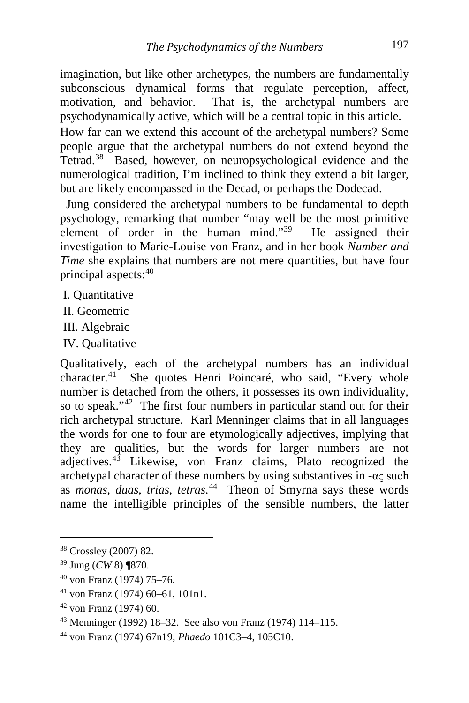imagination, but like other archetypes, the numbers are fundamentally subconscious dynamical forms that regulate perception, affect, motivation, and behavior. That is, the archetypal numbers are psychodynamically active, which will be a central topic in this article.

How far can we extend this account of the archetypal numbers? Some people argue that the archetypal numbers do not extend beyond the Tetrad.[38](#page-7-0) Based, however, on neuropsychological evidence and the numerological tradition, I'm inclined to think they extend a bit larger, but are likely encompassed in the Decad, or perhaps the Dodecad.

 Jung considered the archetypal numbers to be fundamental to depth psychology, remarking that number "may well be the most primitive element of order in the human mind."[39](#page-7-1) He assigned their investigation to Marie-Louise von Franz, and in her book *Number and Time* she explains that numbers are not mere quantities, but have four principal aspects:[40](#page-7-2)

- I. Quantitative
- II. Geometric
- III. Algebraic
- IV. Qualitative

Qualitatively, each of the archetypal numbers has an individual character.<sup>41</sup> She quotes Henri Poincaré, who said, "Every whole number is detached from the others, it possesses its own individuality, so to speak."[42](#page-7-4) The first four numbers in particular stand out for their rich archetypal structure. Karl Menninger claims that in all languages the words for one to four are etymologically adjectives, implying that they are qualities, but the words for larger numbers are not adjectives. $43$  Likewise, von Franz claims, Plato recognized the archetypal character of these numbers by using substantives in  $-\alpha \zeta$  such as *monas*, *duas*, *trias*, *tetras*. [44](#page-7-6) Theon of Smyrna says these words name the intelligible principles of the sensible numbers, the latter

<span id="page-7-0"></span><sup>38</sup> Crossley (2007) 82.

<span id="page-7-1"></span><sup>39</sup> Jung (*CW* 8) ¶870.

<span id="page-7-2"></span><sup>40</sup> von Franz (1974) 75–76.

<span id="page-7-3"></span><sup>41</sup> von Franz (1974) 60–61, 101n1.

<span id="page-7-4"></span><sup>42</sup> von Franz (1974) 60.

<span id="page-7-5"></span><sup>43</sup> Menninger (1992) 18–32. See also von Franz (1974) 114–115.

<span id="page-7-6"></span><sup>44</sup> von Franz (1974) 67n19; *Phaedo* 101C3–4, 105C10.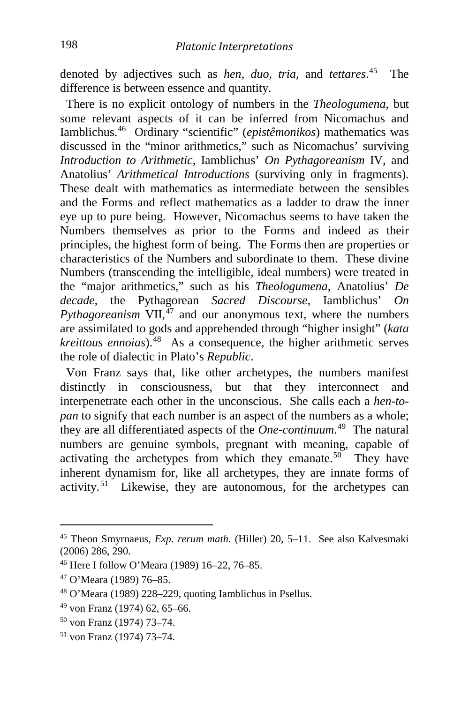denoted by adjectives such as *hen*, *duo*, *tria*, and *tettares*. [45](#page-8-0) The difference is between essence and quantity.

 There is no explicit ontology of numbers in the *Theologumena*, but some relevant aspects of it can be inferred from Nicomachus and Iamblichus.[46](#page-8-1) Ordinary "scientific" (*epistêmonikos*) mathematics was discussed in the "minor arithmetics," such as Nicomachus' surviving *Introduction to Arithmetic*, Iamblichus' *On Pythagoreanism* IV, and Anatolius' *Arithmetical Introductions* (surviving only in fragments). These dealt with mathematics as intermediate between the sensibles and the Forms and reflect mathematics as a ladder to draw the inner eye up to pure being. However, Nicomachus seems to have taken the Numbers themselves as prior to the Forms and indeed as their principles, the highest form of being. The Forms then are properties or characteristics of the Numbers and subordinate to them. These divine Numbers (transcending the intelligible, ideal numbers) were treated in the "major arithmetics," such as his *Theologumena*, Anatolius' *De decade*, the Pythagorean *Sacred Discourse*, Iamblichus' *On Pythagoreanism* VII, $^{47}$  $^{47}$  $^{47}$  and our anonymous text, where the numbers are assimilated to gods and apprehended through "higher insight" (*kata kreittous ennoias*).[48](#page-8-3) As a consequence, the higher arithmetic serves the role of dialectic in Plato's *Republic*.

 Von Franz says that, like other archetypes, the numbers manifest distinctly in consciousness, but that they interconnect and interpenetrate each other in the unconscious. She calls each a *hen-topan* to signify that each number is an aspect of the numbers as a whole; they are all differentiated aspects of the *One-continuum*. [49](#page-8-4) The natural numbers are genuine symbols, pregnant with meaning, capable of activating the archetypes from which they emanate.<sup>50</sup> They have inherent dynamism for, like all archetypes, they are innate forms of activity.[51](#page-8-6) Likewise, they are autonomous, for the archetypes can

i,

<span id="page-8-0"></span><sup>45</sup> Theon Smyrnaeus, *Exp. rerum math.* (Hiller) 20, 5–11. See also Kalvesmaki (2006) 286, 290.

<span id="page-8-1"></span><sup>46</sup> Here I follow O'Meara (1989) 16–22, 76–85.

<span id="page-8-2"></span><sup>47</sup> O'Meara (1989) 76–85.

<span id="page-8-3"></span><sup>48</sup> O'Meara (1989) 228–229, quoting Iamblichus in Psellus.

<span id="page-8-4"></span><sup>49</sup> von Franz (1974) 62, 65–66.

<span id="page-8-5"></span><sup>50</sup> von Franz (1974) 73–74.

<span id="page-8-6"></span><sup>51</sup> von Franz (1974) 73–74.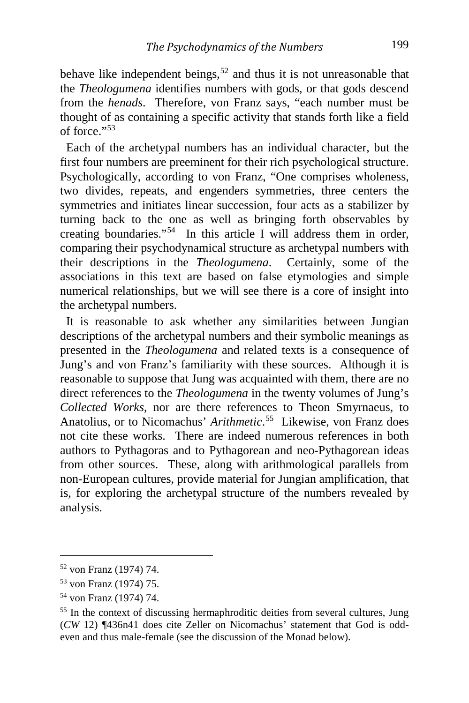behave like independent beings,<sup>[52](#page-9-0)</sup> and thus it is not unreasonable that the *Theologumena* identifies numbers with gods, or that gods descend from the *henads*. Therefore, von Franz says, "each number must be thought of as containing a specific activity that stands forth like a field of force."[53](#page-9-1)

 Each of the archetypal numbers has an individual character, but the first four numbers are preeminent for their rich psychological structure. Psychologically, according to von Franz, "One comprises wholeness, two divides, repeats, and engenders symmetries, three centers the symmetries and initiates linear succession, four acts as a stabilizer by turning back to the one as well as bringing forth observables by creating boundaries."[54](#page-9-2) In this article I will address them in order, comparing their psychodynamical structure as archetypal numbers with their descriptions in the *Theologumena*. Certainly, some of the associations in this text are based on false etymologies and simple numerical relationships, but we will see there is a core of insight into the archetypal numbers.

 It is reasonable to ask whether any similarities between Jungian descriptions of the archetypal numbers and their symbolic meanings as presented in the *Theologumena* and related texts is a consequence of Jung's and von Franz's familiarity with these sources. Although it is reasonable to suppose that Jung was acquainted with them, there are no direct references to the *Theologumena* in the twenty volumes of Jung's *Collected Works*, nor are there references to Theon Smyrnaeus, to Anatolius, or to Nicomachus' *Arithmetic*. [55](#page-9-3) Likewise, von Franz does not cite these works. There are indeed numerous references in both authors to Pythagoras and to Pythagorean and neo-Pythagorean ideas from other sources. These, along with arithmological parallels from non-European cultures, provide material for Jungian amplification, that is, for exploring the archetypal structure of the numbers revealed by analysis.

<span id="page-9-0"></span><sup>52</sup> von Franz (1974) 74.

<span id="page-9-1"></span><sup>53</sup> von Franz (1974) 75.

<span id="page-9-2"></span><sup>54</sup> von Franz (1974) 74.

<span id="page-9-3"></span><sup>55</sup> In the context of discussing hermaphroditic deities from several cultures, Jung (*CW* 12) ¶436n41 does cite Zeller on Nicomachus' statement that God is oddeven and thus male-female (see the discussion of the Monad below).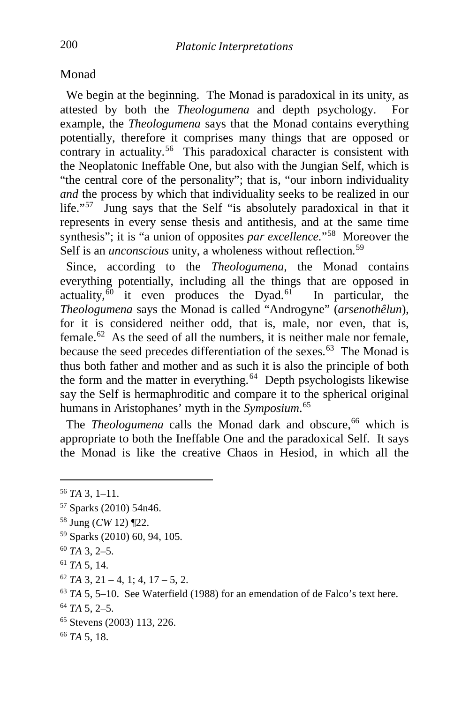#### Monad

We begin at the beginning. The Monad is paradoxical in its unity, as attested by both the *Theologumena* and depth psychology. For example, the *Theologumena* says that the Monad contains everything potentially, therefore it comprises many things that are opposed or contrary in actuality.<sup>56</sup> This paradoxical character is consistent with the Neoplatonic Ineffable One, but also with the Jungian Self, which is "the central core of the personality"; that is, "our inborn individuality *and* the process by which that individuality seeks to be realized in our life."[57](#page-10-1) Jung says that the Self "is absolutely paradoxical in that it represents in every sense thesis and antithesis, and at the same time synthesis"; it is "a union of opposites *par excellence*."<sup>58</sup> Moreover the Self is an *unconscious* unity, a wholeness without reflection*.* [59](#page-10-3)

 Since, according to the *Theologumena,* the Monad contains everything potentially, including all the things that are opposed in actuality,<sup>60</sup> it even produces the  $Dyad.<sup>61</sup>$  In particular, the actuality, $\frac{60}{1}$  $\frac{60}{1}$  $\frac{60}{1}$  it even produces the Dyad.<sup>[61](#page-10-5)</sup> *Theologumena* says the Monad is called "Androgyne" (*arsenothêlun*), for it is considered neither odd, that is, male, nor even, that is, female.<sup>[62](#page-10-6)</sup> As the seed of all the numbers, it is neither male nor female, because the seed precedes differentiation of the sexes.<sup>[63](#page-10-7)</sup> The Monad is thus both father and mother and as such it is also the principle of both the form and the matter in everything.<sup>64</sup> Depth psychologists likewise say the Self is hermaphroditic and compare it to the spherical original humans in Aristophanes' myth in the *Symposium*. [65](#page-10-9)

The *Theologumena* calls the Monad dark and obscure,<sup>[66](#page-10-10)</sup> which is appropriate to both the Ineffable One and the paradoxical Self. It says the Monad is like the creative Chaos in Hesiod, in which all the

- <span id="page-10-5"></span><sup>61</sup> *TA* 5, 14.
- <span id="page-10-6"></span> $62$  *TA* 3, 21 – 4, 1; 4, 17 – 5, 2.
- <span id="page-10-7"></span><sup>63</sup> *TA* 5, 5–10. See Waterfield (1988) for an emendation of de Falco's text here.
- <span id="page-10-8"></span><sup>64</sup> *TA* 5, 2–5.
- <span id="page-10-9"></span><sup>65</sup> Stevens (2003) 113, 226.
- <span id="page-10-10"></span><sup>66</sup> *TA* 5, 18.

<span id="page-10-0"></span><sup>56</sup> *TA* 3, 1–11.

<span id="page-10-1"></span><sup>57</sup> Sparks (2010) 54n46.

<span id="page-10-2"></span><sup>58</sup> Jung (*CW* 12) ¶22.

<span id="page-10-3"></span><sup>59</sup> Sparks (2010) 60, 94, 105.

<span id="page-10-4"></span><sup>60</sup> *TA* 3, 2–5.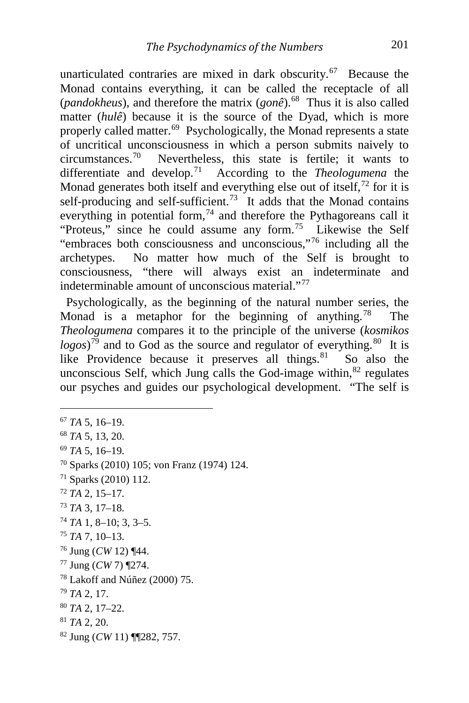unarticulated contraries are mixed in dark obscurity.[67](#page-11-0) Because the Monad contains everything, it can be called the receptacle of all (*pandokheus*), and therefore the matrix (*gonê*).[68](#page-11-1) Thus it is also called matter (*hulê*) because it is the source of the Dyad, which is more properly called matter.<sup>[69](#page-11-2)</sup> Psychologically, the Monad represents a state of uncritical unconsciousness in which a person submits naively to circumstances.<sup>70</sup> Nevertheless, this state is fertile; it wants to differentiate and develop.[71](#page-11-4) According to the *Theologumena* the Monad generates both itself and everything else out of itself,  $^{72}$  $^{72}$  $^{72}$  for it is self-producing and self-sufficient.<sup>[73](#page-11-6)</sup> It adds that the Monad contains everything in potential form,<sup>[74](#page-11-7)</sup> and therefore the Pythagoreans call it "Proteus," since he could assume any form.<sup>75</sup> Likewise the Self "embraces both consciousness and unconscious,"[76](#page-11-9) including all the archetypes. No matter how much of the Self is brought to consciousness, "there will always exist an indeterminate and indeterminable amount of unconscious material."[77](#page-11-10)

 Psychologically, as the beginning of the natural number series, the Monad is a metaphor for the beginning of anything.<sup>[78](#page-11-11)</sup> The *Theologumena* compares it to the principle of the universe (*kosmikos*   $logos$ )<sup>[79](#page-11-12)</sup> and to God as the source and regulator of everything.<sup>80</sup> It is like Providence because it preserves all things. $81$  So also the unconscious Self, which Jung calls the God-image within, $82$  regulates our psyches and guides our psychological development. "The self is

<span id="page-11-15"></span><span id="page-11-14"></span><span id="page-11-13"></span><span id="page-11-12"></span><span id="page-11-11"></span><span id="page-11-10"></span><span id="page-11-9"></span><span id="page-11-8"></span><span id="page-11-7"></span><span id="page-11-6"></span><span id="page-11-5"></span><span id="page-11-4"></span><span id="page-11-3"></span><span id="page-11-2"></span><span id="page-11-1"></span><span id="page-11-0"></span><sup>67</sup> *TA* 5, 16–19. <sup>68</sup> *TA* 5, 13, 20. <sup>69</sup> *TA* 5, 16–19. <sup>70</sup> Sparks (2010) 105; von Franz (1974) 124. <sup>71</sup> Sparks (2010) 112. <sup>72</sup> *TA* 2, 15–17. <sup>73</sup> *TA* 3, 17–18. <sup>74</sup> *TA* 1, 8–10; 3, 3–5. <sup>75</sup> *TA* 7, 10–13. <sup>76</sup> Jung (*CW* 12) ¶44. <sup>77</sup> Jung (*CW* 7) ¶274. <sup>78</sup> Lakoff and Núñez (2000) 75. <sup>79</sup> *TA* 2, 17. <sup>80</sup> *TA* 2, 17–22. <sup>81</sup> *TA* 2, 20. <sup>82</sup> Jung (*CW* 11) ¶¶282, 757.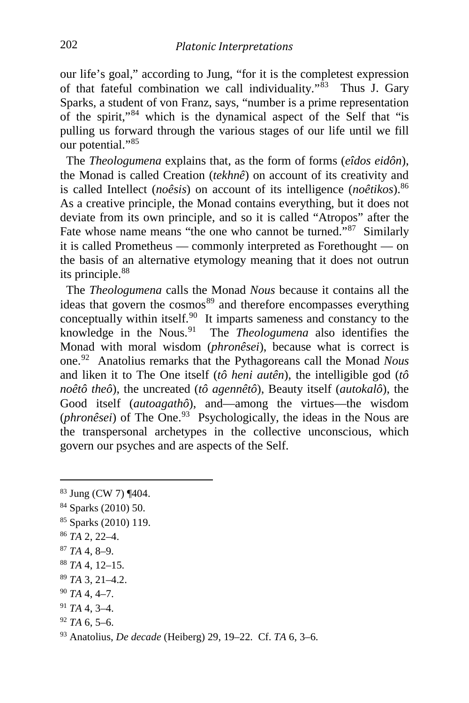our life's goal," according to Jung, "for it is the completest expression of that fateful combination we call individuality."[83](#page-12-0) Thus J. Gary Sparks, a student of von Franz, says, "number is a prime representation of the spirit,"[84](#page-12-1) which is the dynamical aspect of the Self that "is pulling us forward through the various stages of our life until we fill our potential."[85](#page-12-2)

 The *Theologumena* explains that, as the form of forms (*eîdos eidôn*), the Monad is called Creation (*tekhnê*) on account of its creativity and is called Intellect (*noêsis*) on account of its intelligence (*noêtikos*).[86](#page-12-3) As a creative principle, the Monad contains everything, but it does not deviate from its own principle, and so it is called "Atropos" after the Fate whose name means "the one who cannot be turned."<sup>87</sup> Similarly it is called Prometheus — commonly interpreted as Forethought — on the basis of an alternative etymology meaning that it does not outrun its principle.<sup>[88](#page-12-5)</sup>

 The *Theologumena* calls the Monad *Nous* because it contains all the ideas that govern the  $cosms<sup>89</sup>$  $cosms<sup>89</sup>$  $cosms<sup>89</sup>$  and therefore encompasses everything conceptually within itself.<sup>[90](#page-12-7)</sup> It imparts sameness and constancy to the knowledge in the Nous.[91](#page-12-8) The *Theologumena* also identifies the Monad with moral wisdom (*phronêsei*), because what is correct is one.[92](#page-12-9) Anatolius remarks that the Pythagoreans call the Monad *Nous* and liken it to The One itself (*tô heni autên*), the intelligible god (*tô noêtô theô*), the uncreated (*tô agennêtô*), Beauty itself (*autokalô*), the Good itself (*autoagathô*), and—among the virtues—the wisdom (*phronêsei*) of The One.<sup>[93](#page-12-10)</sup> Psychologically, the ideas in the Nous are the transpersonal archetypes in the collective unconscious, which govern our psyches and are aspects of the Self.

- <span id="page-12-4"></span><sup>87</sup> *TA* 4, 8–9.
- <span id="page-12-5"></span><sup>88</sup> *TA* 4, 12–15.
- <span id="page-12-6"></span><sup>89</sup> *TA* 3, 21–4.2.
- <span id="page-12-7"></span><sup>90</sup> *TA* 4, 4–7.
- <span id="page-12-8"></span><sup>91</sup> *TA* 4, 3–4.
- <span id="page-12-9"></span><sup>92</sup> *TA* 6, 5–6.

<span id="page-12-0"></span><sup>83</sup> Jung (CW 7) ¶404.

<span id="page-12-1"></span><sup>84</sup> Sparks (2010) 50.

<span id="page-12-2"></span><sup>85</sup> Sparks (2010) 119.

<span id="page-12-3"></span><sup>86</sup> *TA* 2, 22–4.

<span id="page-12-10"></span><sup>93</sup> Anatolius, *De decade* (Heiberg) 29, 19–22. Cf. *TA* 6, 3–6.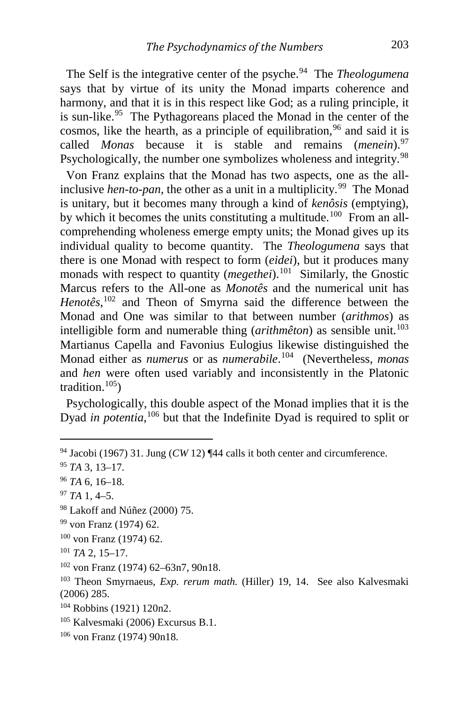The Self is the integrative center of the psyche.<sup>94</sup> The *Theologumena* says that by virtue of its unity the Monad imparts coherence and harmony, and that it is in this respect like God; as a ruling principle, it is sun-like.<sup>95</sup> The Pythagoreans placed the Monad in the center of the cosmos, like the hearth, as a principle of equilibration,  $96$  and said it is called *Monas* because it is stable and remains (*menein*).<sup>[97](#page-13-3)</sup> Psychologically, the number one symbolizes wholeness and integrity.<sup>[98](#page-13-4)</sup>

 Von Franz explains that the Monad has two aspects, one as the allinclusive *hen-to-pan*, the other as a unit in a multiplicity.<sup>99</sup> The Monad is unitary, but it becomes many through a kind of *kenôsis* (emptying), by which it becomes the units constituting a multitude.[100](#page-13-6) From an allcomprehending wholeness emerge empty units; the Monad gives up its individual quality to become quantity. The *Theologumena* says that there is one Monad with respect to form (*eidei*), but it produces many monads with respect to quantity *(megethei*).<sup>[101](#page-13-7)</sup> Similarly, the Gnostic Marcus refers to the All-one as *Monotês* and the numerical unit has *Henotês*, [102](#page-13-8) and Theon of Smyrna said the difference between the Monad and One was similar to that between number (*arithmos*) as intelligible form and numerable thing  $(arithmêton)$  as sensible unit.<sup>[103](#page-13-9)</sup> Martianus Capella and Favonius Eulogius likewise distinguished the Monad either as *numerus* or as *numerabile*. [104](#page-13-10) (Nevertheless, *monas* and *hen* were often used variably and inconsistently in the Platonic tradition. $105$ )

 Psychologically, this double aspect of the Monad implies that it is the Dyad *in potentia*, [106](#page-13-12) but that the Indefinite Dyad is required to split or

<span id="page-13-3"></span><sup>97</sup> *TA* 1, 4–5.

i,

<span id="page-13-4"></span><sup>98</sup> Lakoff and Núñez (2000) 75.

<span id="page-13-6"></span><sup>100</sup> von Franz (1974) 62.

<span id="page-13-8"></span><sup>102</sup> von Franz (1974) 62–63n7, 90n18.

- <span id="page-13-11"></span><sup>105</sup> Kalvesmaki (2006) Excursus B.1.
- <span id="page-13-12"></span><sup>106</sup> von Franz (1974) 90n18.

<span id="page-13-0"></span><sup>94</sup> Jacobi (1967) 31. Jung (*CW* 12) ¶44 calls it both center and circumference.

<span id="page-13-1"></span><sup>95</sup> *TA* 3, 13–17.

<span id="page-13-2"></span><sup>96</sup> *TA* 6, 16–18.

<span id="page-13-5"></span><sup>99</sup> von Franz (1974) 62.

<span id="page-13-7"></span><sup>101</sup> *TA* 2, 15–17.

<span id="page-13-9"></span><sup>103</sup> Theon Smyrnaeus, *Exp. rerum math.* (Hiller) 19, 14. See also Kalvesmaki (2006) 285.

<span id="page-13-10"></span><sup>104</sup> Robbins (1921) 120n2.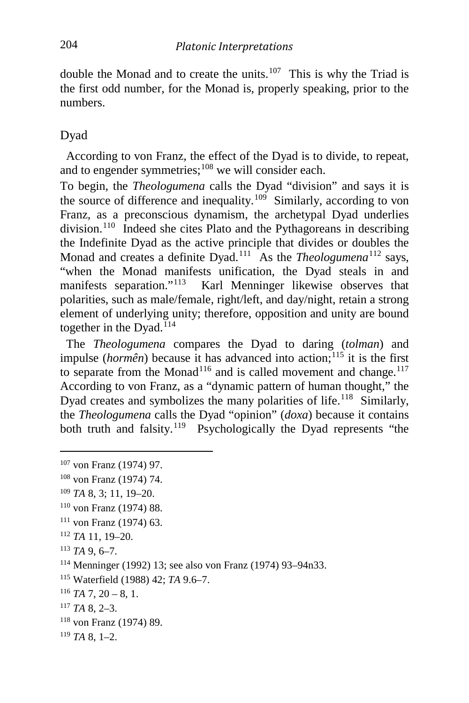double the Monad and to create the units.<sup>[107](#page-14-0)</sup> This is why the Triad is the first odd number, for the Monad is, properly speaking, prior to the numbers.

#### Dyad

 According to von Franz, the effect of the Dyad is to divide, to repeat, and to engender symmetries;<sup>[108](#page-14-1)</sup> we will consider each.

To begin, the *Theologumena* calls the Dyad "division" and says it is the source of difference and inequality.<sup>109</sup> Similarly, according to von Franz, as a preconscious dynamism, the archetypal Dyad underlies  $\mu$  division.<sup>110</sup> Indeed she cites Plato and the Pythagoreans in describing the Indefinite Dyad as the active principle that divides or doubles the Monad and creates a definite Dyad.<sup>111</sup> As the *Theologumena*<sup>[112](#page-14-5)</sup> says, "when the Monad manifests unification, the Dyad steals in and manifests separation."<sup>[113](#page-14-6)</sup> Karl Menninger likewise observes that polarities, such as male/female, right/left, and day/night, retain a strong element of underlying unity; therefore, opposition and unity are bound together in the Dyad.<sup>[114](#page-14-7)</sup>

 The *Theologumena* compares the Dyad to daring (*tolman*) and impulse (*hormên*) because it has advanced into action;<sup>[115](#page-14-8)</sup> it is the first to separate from the Monad<sup>[116](#page-14-9)</sup> and is called movement and change.<sup>[117](#page-14-10)</sup> According to von Franz, as a "dynamic pattern of human thought," the Dyad creates and symbolizes the many polarities of life.<sup>118</sup> Similarly, the *Theologumena* calls the Dyad "opinion" (*doxa*) because it contains both truth and falsity.<sup>[119](#page-14-12)</sup> Psychologically the Dyad represents "the

- <span id="page-14-4"></span><sup>111</sup> von Franz (1974) 63.
- <span id="page-14-5"></span><sup>112</sup> *TA* 11, 19–20.
- <span id="page-14-6"></span><sup>113</sup> *TA* 9, 6–7.

- <span id="page-14-10"></span><sup>117</sup> *TA* 8, 2–3.
- <span id="page-14-11"></span><sup>118</sup> von Franz (1974) 89.
- <span id="page-14-12"></span><sup>119</sup> *TA* 8, 1–2.

<span id="page-14-0"></span><sup>107</sup> von Franz (1974) 97.

<span id="page-14-1"></span><sup>108</sup> von Franz (1974) 74.

<span id="page-14-2"></span><sup>109</sup> *TA* 8, 3; 11, 19–20.

<span id="page-14-3"></span><sup>110</sup> von Franz (1974) 88.

<span id="page-14-7"></span><sup>114</sup> Menninger (1992) 13; see also von Franz (1974) 93–94n33.

<span id="page-14-8"></span><sup>115</sup> Waterfield (1988) 42; *TA* 9.6–7.

<span id="page-14-9"></span> $116$  *TA* 7, 20 – 8, 1.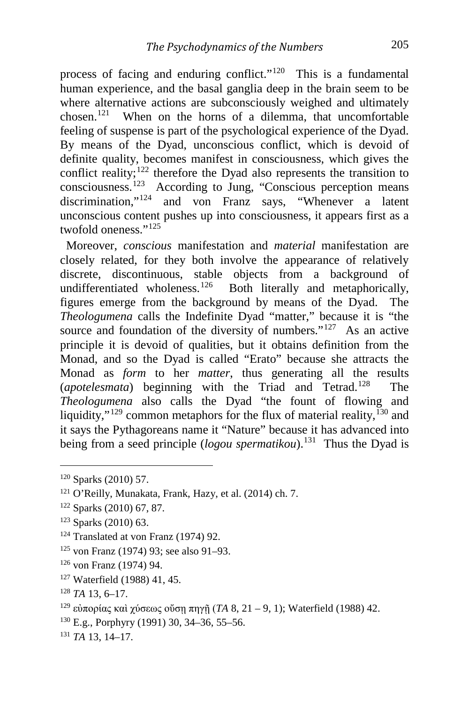process of facing and enduring conflict."[120](#page-15-0) This is a fundamental human experience, and the basal ganglia deep in the brain seem to be where alternative actions are subconsciously weighed and ultimately chosen.[121](#page-15-1) When on the horns of a dilemma, that uncomfortable feeling of suspense is part of the psychological experience of the Dyad. By means of the Dyad, unconscious conflict, which is devoid of definite quality, becomes manifest in consciousness, which gives the conflict reality;<sup>[122](#page-15-2)</sup> therefore the Dyad also represents the transition to consciousness.<sup>123</sup> According to Jung, "Conscious perception means discrimination,"<sup>124</sup> and von Franz says, "Whenever a latent and von Franz says, "Whenever a latent unconscious content pushes up into consciousness, it appears first as a twofold oneness<sup>"[125](#page-15-5)</sup>

 Moreover, *conscious* manifestation and *material* manifestation are closely related, for they both involve the appearance of relatively discrete, discontinuous, stable objects from a background of undifferentiated wholeness.<sup>126</sup> Both literally and metaphorically. Both literally and metaphorically, figures emerge from the background by means of the Dyad. The *Theologumena* calls the Indefinite Dyad "matter," because it is "the source and foundation of the diversity of numbers."<sup>[127](#page-15-7)</sup> As an active principle it is devoid of qualities, but it obtains definition from the Monad, and so the Dyad is called "Erato" because she attracts the Monad as *form* to her *matter*, thus generating all the results (*apotelesmata*) beginning with the Triad and Tetrad.[128](#page-15-8) The *Theologumena* also calls the Dyad "the fount of flowing and liquidity," $129$  common metaphors for the flux of material reality,  $130$  and it says the Pythagoreans name it "Nature" because it has advanced into being from a seed principle (*logou spermatikou*).<sup>[131](#page-15-11)</sup> Thus the Dyad is

<span id="page-15-7"></span><sup>127</sup> Waterfield (1988) 41, 45.

<span id="page-15-11"></span><sup>131</sup> *TA* 13, 14–17.

<span id="page-15-0"></span><sup>120</sup> Sparks (2010) 57.

<span id="page-15-1"></span><sup>121</sup> O'Reilly, Munakata, Frank, Hazy, et al. (2014) ch. 7.

<span id="page-15-2"></span><sup>122</sup> Sparks (2010) 67, 87.

<span id="page-15-3"></span><sup>123</sup> Sparks (2010) 63.

<span id="page-15-4"></span><sup>124</sup> Translated at von Franz (1974) 92.

<span id="page-15-5"></span><sup>125</sup> von Franz (1974) 93; see also 91–93.

<span id="page-15-6"></span><sup>126</sup> von Franz (1974) 94.

<span id="page-15-8"></span><sup>128</sup> *TA* 13, 6–17.

<span id="page-15-9"></span><sup>&</sup>lt;sup>129</sup> εὐπορίας καὶ χύσεως οὔσῃ πηγῇ (*TA* 8, 21 – 9, 1); Waterfield (1988) 42.

<span id="page-15-10"></span><sup>130</sup> E.g., Porphyry (1991) 30, 34–36, 55–56.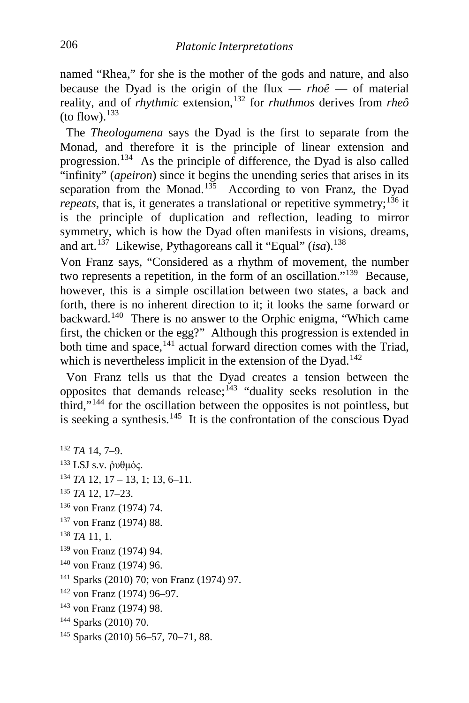named "Rhea," for she is the mother of the gods and nature, and also because the Dyad is the origin of the flux — *rhoê* — of material reality, and of *rhythmic* extension,[132](#page-16-0) for *rhuthmos* derives from *rheô* (to flow).  $133$ 

 The *Theologumena* says the Dyad is the first to separate from the Monad, and therefore it is the principle of linear extension and progression.[134](#page-16-2) As the principle of difference, the Dyad is also called "infinity" (*apeiron*) since it begins the unending series that arises in its separation from the Monad.<sup>[135](#page-16-3)</sup> According to von Franz, the Dyad *repeats*, that is, it generates a translational or repetitive symmetry;<sup>[136](#page-16-4)</sup> it is the principle of duplication and reflection, leading to mirror symmetry, which is how the Dyad often manifests in visions, dreams, and art.[137](#page-16-5) Likewise, Pythagoreans call it "Equal" (*isa*).[138](#page-16-6)

Von Franz says, "Considered as a rhythm of movement, the number two represents a repetition, in the form of an oscillation."[139](#page-16-7) Because, however, this is a simple oscillation between two states, a back and forth, there is no inherent direction to it; it looks the same forward or backward.[140](#page-16-8) There is no answer to the Orphic enigma, "Which came first, the chicken or the egg?" Although this progression is extended in both time and space, $^{141}$  $^{141}$  $^{141}$  actual forward direction comes with the Triad, which is nevertheless implicit in the extension of the Dyad.<sup>[142](#page-16-10)</sup>

 Von Franz tells us that the Dyad creates a tension between the opposites that demands release; $143$  "duality seeks resolution in the third,"[144](#page-16-12) for the oscillation between the opposites is not pointless, but is seeking a synthesis.<sup>[145](#page-16-13)</sup> It is the confrontation of the conscious Dyad

- <span id="page-16-2"></span> $134$  *TA* 12, 17 – 13, 1; 13, 6–11.
- <span id="page-16-3"></span><sup>135</sup> *TA* 12, 17–23.
- <span id="page-16-4"></span><sup>136</sup> von Franz (1974) 74.
- <span id="page-16-5"></span><sup>137</sup> von Franz (1974) 88.
- <span id="page-16-6"></span><sup>138</sup> *TA* 11, 1.
- <span id="page-16-7"></span><sup>139</sup> von Franz (1974) 94.
- <span id="page-16-8"></span><sup>140</sup> von Franz (1974) 96.
- <span id="page-16-9"></span><sup>141</sup> Sparks (2010) 70; von Franz (1974) 97.
- <span id="page-16-10"></span><sup>142</sup> von Franz (1974) 96–97.
- <span id="page-16-11"></span><sup>143</sup> von Franz (1974) 98.
- <span id="page-16-12"></span><sup>144</sup> Sparks (2010) 70.
- <span id="page-16-13"></span><sup>145</sup> Sparks (2010) 56–57, 70–71, 88.

<span id="page-16-0"></span><sup>132</sup> *TA* 14, 7–9.

<span id="page-16-1"></span><sup>&</sup>lt;sup>133</sup> LSJ s.v. *ρυθμός*.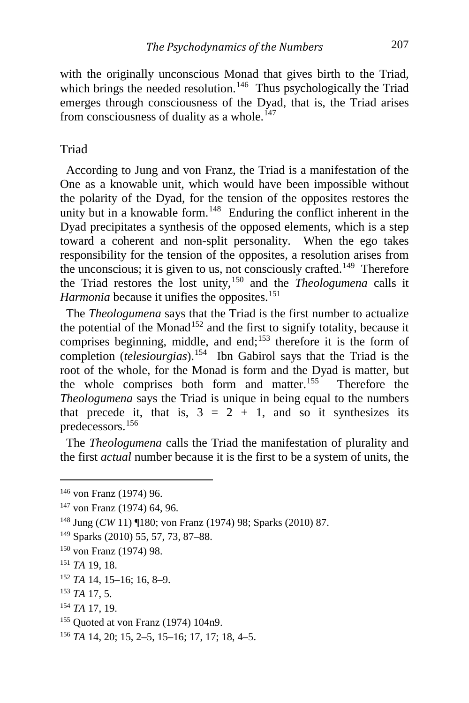with the originally unconscious Monad that gives birth to the Triad, which brings the needed resolution.<sup>[146](#page-17-0)</sup> Thus psychologically the Triad emerges through consciousness of the Dyad, that is, the Triad arises from consciousness of duality as a whole.<sup> $147$ </sup>

#### Triad

 According to Jung and von Franz, the Triad is a manifestation of the One as a knowable unit, which would have been impossible without the polarity of the Dyad, for the tension of the opposites restores the unity but in a knowable form.<sup>148</sup> Enduring the conflict inherent in the Dyad precipitates a synthesis of the opposed elements, which is a step toward a coherent and non-split personality. When the ego takes responsibility for the tension of the opposites, a resolution arises from the unconscious; it is given to us, not consciously crafted.<sup>149</sup> Therefore the Triad restores the lost unity,[150](#page-17-4) and the *Theologumena* calls it *Harmonia* because it unifies the opposites.<sup>[151](#page-17-5)</sup>

 The *Theologumena* says that the Triad is the first number to actualize the potential of the Monad<sup>[152](#page-17-6)</sup> and the first to signify totality, because it comprises beginning, middle, and end;<sup>[153](#page-17-7)</sup> therefore it is the form of completion (*telesiourgias*).[154](#page-17-8) Ibn Gabirol says that the Triad is the root of the whole, for the Monad is form and the Dyad is matter, but the whole comprises both form and matter.[155](#page-17-9) Therefore the *Theologumena* says the Triad is unique in being equal to the numbers that precede it, that is,  $3 = 2 + 1$ , and so it synthesizes its predecessors.[156](#page-17-10)

 The *Theologumena* calls the Triad the manifestation of plurality and the first *actual* number because it is the first to be a system of units, the

<span id="page-17-0"></span><sup>146</sup> von Franz (1974) 96.

<span id="page-17-1"></span><sup>147</sup> von Franz (1974) 64, 96.

<span id="page-17-2"></span><sup>148</sup> Jung (*CW* 11) ¶180; von Franz (1974) 98; Sparks (2010) 87.

<span id="page-17-3"></span><sup>149</sup> Sparks (2010) 55, 57, 73, 87–88.

<span id="page-17-4"></span><sup>150</sup> von Franz (1974) 98.

<span id="page-17-5"></span><sup>151</sup> *TA* 19, 18.

<span id="page-17-6"></span><sup>152</sup> *TA* 14, 15–16; 16, 8–9.

<span id="page-17-7"></span><sup>153</sup> *TA* 17, 5.

<span id="page-17-8"></span><sup>154</sup> *TA* 17, 19.

<span id="page-17-9"></span><sup>155</sup> Quoted at von Franz (1974) 104n9.

<span id="page-17-10"></span><sup>156</sup> *TA* 14, 20; 15, 2–5, 15–16; 17, 17; 18, 4–5.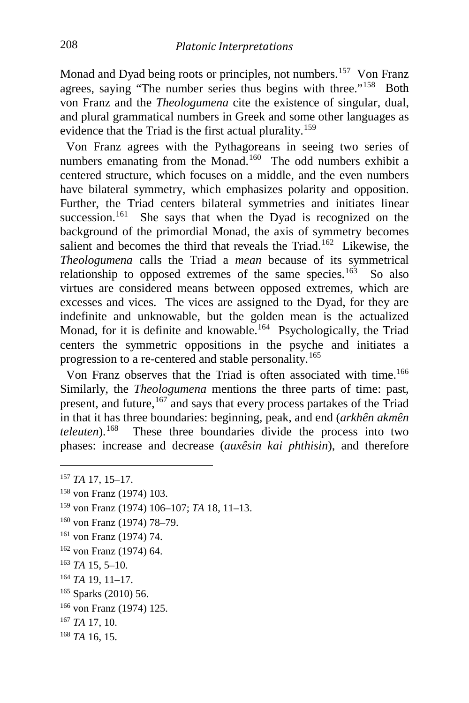Monad and Dyad being roots or principles, not numbers.<sup>157</sup> Von Franz agrees, saying "The number series thus begins with three."<sup>158</sup> Both von Franz and the *Theologumena* cite the existence of singular, dual, and plural grammatical numbers in Greek and some other languages as evidence that the Triad is the first actual plurality.<sup>[159](#page-18-2)</sup>

 Von Franz agrees with the Pythagoreans in seeing two series of numbers emanating from the Monad.[160](#page-18-3) The odd numbers exhibit a centered structure, which focuses on a middle, and the even numbers have bilateral symmetry, which emphasizes polarity and opposition. Further, the Triad centers bilateral symmetries and initiates linear succession.<sup>161</sup> She says that when the Dyad is recognized on the background of the primordial Monad, the axis of symmetry becomes salient and becomes the third that reveals the  $Triad<sub>162</sub>$  Likewise, the *Theologumena* calls the Triad a *mean* because of its symmetrical relationship to opposed extremes of the same species.<sup>[163](#page-18-6)</sup> So also virtues are considered means between opposed extremes, which are excesses and vices. The vices are assigned to the Dyad, for they are indefinite and unknowable, but the golden mean is the actualized Monad, for it is definite and knowable.<sup>164</sup> Psychologically, the Triad centers the symmetric oppositions in the psyche and initiates a progression to a re-centered and stable personality.[165](#page-18-8)

Von Franz observes that the Triad is often associated with time.<sup>[166](#page-18-9)</sup> Similarly, the *Theologumena* mentions the three parts of time: past, present, and future, <sup>[167](#page-18-10)</sup> and says that every process partakes of the Triad in that it has three boundaries: beginning, peak, and end (*arkhên akmên teleuten*).<sup>168</sup> These three boundaries divide the process into two phases: increase and decrease (*auxêsin kai phthisin*), and therefore

- <span id="page-18-2"></span><sup>159</sup> von Franz (1974) 106–107; *TA* 18, 11–13.
- <span id="page-18-3"></span><sup>160</sup> von Franz (1974) 78–79.
- <span id="page-18-4"></span><sup>161</sup> von Franz (1974) 74.
- <span id="page-18-5"></span><sup>162</sup> von Franz (1974) 64.
- <span id="page-18-6"></span><sup>163</sup> *TA* 15, 5–10.
- <span id="page-18-7"></span><sup>164</sup> *TA* 19, 11–17.
- <span id="page-18-8"></span><sup>165</sup> Sparks (2010) 56.
- <span id="page-18-9"></span><sup>166</sup> von Franz (1974) 125.
- <span id="page-18-10"></span><sup>167</sup> *TA* 17, 10.
- <span id="page-18-11"></span><sup>168</sup> *TA* 16, 15.

<span id="page-18-0"></span><sup>157</sup> *TA* 17, 15–17.

<span id="page-18-1"></span><sup>158</sup> von Franz (1974) 103.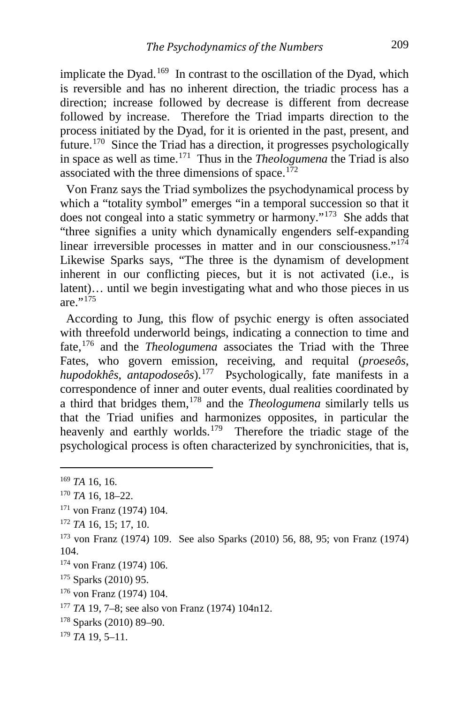implicate the Dyad.<sup>[169](#page-19-0)</sup> In contrast to the oscillation of the Dyad, which is reversible and has no inherent direction, the triadic process has a direction; increase followed by decrease is different from decrease followed by increase. Therefore the Triad imparts direction to the process initiated by the Dyad, for it is oriented in the past, present, and future.[170](#page-19-1) Since the Triad has a direction, it progresses psychologically in space as well as time.[171](#page-19-2) Thus in the *Theologumena* the Triad is also associated with the three dimensions of space. $172$ 

 Von Franz says the Triad symbolizes the psychodynamical process by which a "totality symbol" emerges "in a temporal succession so that it does not congeal into a static symmetry or harmony."[173](#page-19-4) She adds that "three signifies a unity which dynamically engenders self-expanding linear irreversible processes in matter and in our consciousness."<sup>[174](#page-19-5)</sup> Likewise Sparks says, "The three is the dynamism of development inherent in our conflicting pieces, but it is not activated (i.e., is latent)… until we begin investigating what and who those pieces in us are $^{\prime\prime}$ . [175](#page-19-6)

 According to Jung, this flow of psychic energy is often associated with threefold underworld beings, indicating a connection to time and fate,[176](#page-19-7) and the *Theologumena* associates the Triad with the Three Fates, who govern emission, receiving, and requital (*proeseôs*, *hupodokhês*, *antapodoseôs*).[177](#page-19-8) Psychologically, fate manifests in a correspondence of inner and outer events, dual realities coordinated by a third that bridges them,[178](#page-19-9) and the *Theologumena* similarly tells us that the Triad unifies and harmonizes opposites, in particular the heavenly and earthly worlds.<sup>[179](#page-19-10)</sup> Therefore the triadic stage of the psychological process is often characterized by synchronicities, that is,

i,

<span id="page-19-0"></span><sup>169</sup> *TA* 16, 16.

<span id="page-19-1"></span><sup>170</sup> *TA* 16, 18–22.

<span id="page-19-2"></span><sup>171</sup> von Franz (1974) 104.

<span id="page-19-3"></span><sup>172</sup> *TA* 16, 15; 17, 10.

<span id="page-19-4"></span><sup>173</sup> von Franz (1974) 109. See also Sparks (2010) 56, 88, 95; von Franz (1974) 104.

<span id="page-19-5"></span><sup>174</sup> von Franz (1974) 106.

<span id="page-19-6"></span><sup>175</sup> Sparks (2010) 95.

<span id="page-19-7"></span><sup>176</sup> von Franz (1974) 104.

<span id="page-19-8"></span><sup>177</sup> *TA* 19, 7–8; see also von Franz (1974) 104n12.

<span id="page-19-9"></span><sup>178</sup> Sparks (2010) 89–90.

<span id="page-19-10"></span><sup>179</sup> *TA* 19, 5–11.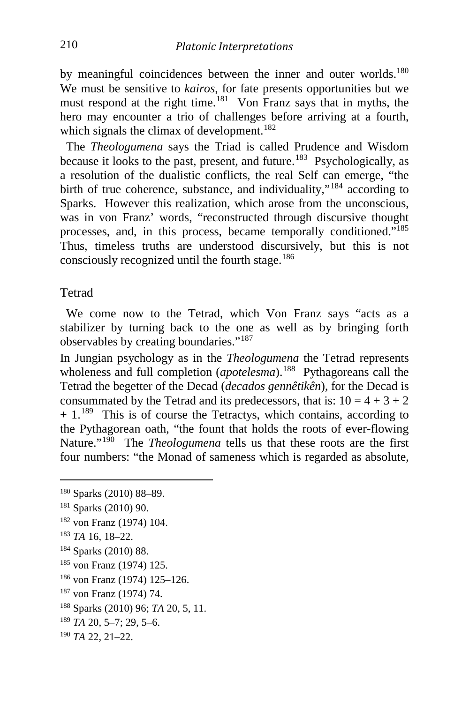by meaningful coincidences between the inner and outer worlds.<sup>[180](#page-20-0)</sup> We must be sensitive to *kairos*, for fate presents opportunities but we must respond at the right time.<sup>181</sup> Von Franz says that in myths, the hero may encounter a trio of challenges before arriving at a fourth, which signals the climax of development.<sup>[182](#page-20-2)</sup>

 The *Theologumena* says the Triad is called Prudence and Wisdom because it looks to the past, present, and future.<sup>[183](#page-20-3)</sup> Psychologically, as a resolution of the dualistic conflicts, the real Self can emerge, "the birth of true coherence, substance, and individuality,"<sup>[184](#page-20-4)</sup> according to Sparks. However this realization, which arose from the unconscious, was in von Franz' words, "reconstructed through discursive thought processes, and, in this process, became temporally conditioned."[185](#page-20-5) Thus, timeless truths are understood discursively, but this is not consciously recognized until the fourth stage.<sup>[186](#page-20-6)</sup>

Tetrad

 We come now to the Tetrad, which Von Franz says "acts as a stabilizer by turning back to the one as well as by bringing forth observables by creating boundaries."[187](#page-20-7) 

In Jungian psychology as in the *Theologumena* the Tetrad represents wholeness and full completion (*apotelesma*).<sup>188</sup> Pythagoreans call the Tetrad the begetter of the Decad (*decados gennêtikên*), for the Decad is consummated by the Tetrad and its predecessors, that is:  $10 = 4 + 3 + 2$  $+ 1.^{189}$  $+ 1.^{189}$  $+ 1.^{189}$  This is of course the Tetractys, which contains, according to the Pythagorean oath, "the fount that holds the roots of ever-flowing Nature."<sup>[190](#page-20-10)</sup> The *Theologumena* tells us that these roots are the first four numbers: "the Monad of sameness which is regarded as absolute,

- <span id="page-20-3"></span><sup>183</sup> *TA* 16, 18–22.
- <span id="page-20-4"></span><sup>184</sup> Sparks (2010) 88.
- <span id="page-20-5"></span><sup>185</sup> von Franz (1974) 125.
- <span id="page-20-6"></span><sup>186</sup> von Franz (1974) 125–126.
- <span id="page-20-7"></span><sup>187</sup> von Franz (1974) 74.
- <span id="page-20-8"></span><sup>188</sup> Sparks (2010) 96; *TA* 20, 5, 11.
- <span id="page-20-9"></span><sup>189</sup> *TA* 20, 5–7; 29, 5–6.
- <span id="page-20-10"></span><sup>190</sup> *TA* 22, 21–22.

<span id="page-20-0"></span><sup>180</sup> Sparks (2010) 88–89.

<span id="page-20-1"></span><sup>181</sup> Sparks (2010) 90.

<span id="page-20-2"></span><sup>182</sup> von Franz (1974) 104.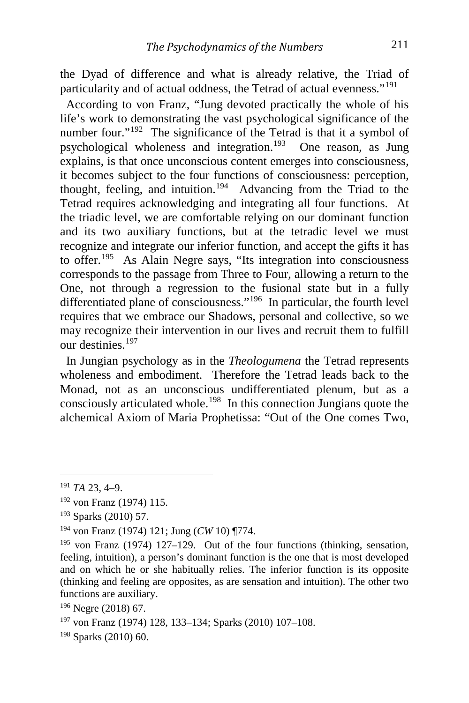the Dyad of difference and what is already relative, the Triad of particularity and of actual oddness, the Tetrad of actual evenness."[191](#page-21-0)

 According to von Franz, "Jung devoted practically the whole of his life's work to demonstrating the vast psychological significance of the number four."<sup>192</sup> The significance of the Tetrad is that it a symbol of psychological wholeness and integration.[193](#page-21-2) One reason, as Jung explains, is that once unconscious content emerges into consciousness, it becomes subject to the four functions of consciousness: perception, thought, feeling, and intuition.<sup>[194](#page-21-3)</sup> Advancing from the Triad to the Tetrad requires acknowledging and integrating all four functions. At the triadic level, we are comfortable relying on our dominant function and its two auxiliary functions, but at the tetradic level we must recognize and integrate our inferior function, and accept the gifts it has to offer.[195](#page-21-4) As Alain Negre says, "Its integration into consciousness corresponds to the passage from Three to Four, allowing a return to the One, not through a regression to the fusional state but in a fully differentiated plane of consciousness."[196](#page-21-5) In particular, the fourth level requires that we embrace our Shadows, personal and collective, so we may recognize their intervention in our lives and recruit them to fulfill our destinies.<sup>197</sup>

 In Jungian psychology as in the *Theologumena* the Tetrad represents wholeness and embodiment. Therefore the Tetrad leads back to the Monad, not as an unconscious undifferentiated plenum, but as a consciously articulated whole.[198](#page-21-7) In this connection Jungians quote the alchemical Axiom of Maria Prophetissa: "Out of the One comes Two,

i, <sup>191</sup> *TA* 23, 4–9.

<span id="page-21-1"></span><span id="page-21-0"></span><sup>192</sup> von Franz (1974) 115.

<span id="page-21-2"></span><sup>193</sup> Sparks (2010) 57.

<span id="page-21-3"></span><sup>194</sup> von Franz (1974) 121; Jung (*CW* 10) ¶774.

<span id="page-21-4"></span> $195$  von Franz (1974) 127–129. Out of the four functions (thinking, sensation, feeling, intuition), a person's dominant function is the one that is most developed and on which he or she habitually relies. The inferior function is its opposite (thinking and feeling are opposites, as are sensation and intuition). The other two functions are auxiliary.

<span id="page-21-5"></span><sup>196</sup> Negre (2018) 67.

<span id="page-21-6"></span><sup>197</sup> von Franz (1974) 128, 133–134; Sparks (2010) 107–108.

<span id="page-21-7"></span><sup>198</sup> Sparks (2010) 60.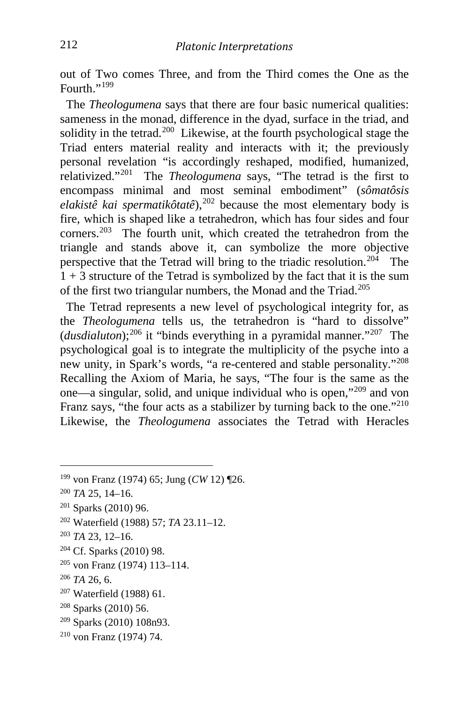out of Two comes Three, and from the Third comes the One as the Fourth $"199$  $"199$ 

 The *Theologumena* says that there are four basic numerical qualities: sameness in the monad, difference in the dyad, surface in the triad, and solidity in the tetrad.<sup>[200](#page-22-1)</sup> Likewise, at the fourth psychological stage the Triad enters material reality and interacts with it; the previously personal revelation "is accordingly reshaped, modified, humanized, relativized."[201](#page-22-2) The *Theologumena* says, "The tetrad is the first to encompass minimal and most seminal embodiment" (*sômatôsis elakistê kai spermatikôtatê*),<sup>[202](#page-22-3)</sup> because the most elementary body is fire, which is shaped like a tetrahedron, which has four sides and four corners.[203](#page-22-4) The fourth unit, which created the tetrahedron from the triangle and stands above it, can symbolize the more objective perspective that the Tetrad will bring to the triadic resolution.<sup>[204](#page-22-5)</sup> The  $1 + 3$  structure of the Tetrad is symbolized by the fact that it is the sum of the first two triangular numbers, the Monad and the Triad.[205](#page-22-6)

 The Tetrad represents a new level of psychological integrity for, as the *Theologumena* tells us, the tetrahedron is "hard to dissolve"  $(dusdialuton);^{206}$  $(dusdialuton);^{206}$  $(dusdialuton);^{206}$  it "binds everything in a pyramidal manner."<sup>207</sup> The psychological goal is to integrate the multiplicity of the psyche into a new unity, in Spark's words, "a re-centered and stable personality."[208](#page-22-9) Recalling the Axiom of Maria, he says, "The four is the same as the one—a singular, solid, and unique individual who is open,"[209](#page-22-10) and von Franz says, "the four acts as a stabilizer by turning back to the one."<sup>[210](#page-22-11)</sup> Likewise, the *Theologumena* associates the Tetrad with Heracles

- <span id="page-22-2"></span><sup>201</sup> Sparks (2010) 96.
- <span id="page-22-3"></span><sup>202</sup> Waterfield (1988) 57; *TA* 23.11–12.
- <span id="page-22-4"></span><sup>203</sup> *TA* 23, 12–16.
- <span id="page-22-5"></span><sup>204</sup> Cf. Sparks (2010) 98.
- <span id="page-22-6"></span><sup>205</sup> von Franz (1974) 113–114.
- <span id="page-22-7"></span><sup>206</sup> *TA* 26, 6.
- <span id="page-22-8"></span><sup>207</sup> Waterfield (1988) 61.
- <span id="page-22-9"></span><sup>208</sup> Sparks (2010) 56.
- <span id="page-22-10"></span><sup>209</sup> Sparks (2010) 108n93.
- <span id="page-22-11"></span><sup>210</sup> von Franz (1974) 74.

<span id="page-22-0"></span><sup>199</sup> von Franz (1974) 65; Jung (*CW* 12) ¶26.

<span id="page-22-1"></span><sup>200</sup> *TA* 25, 14–16.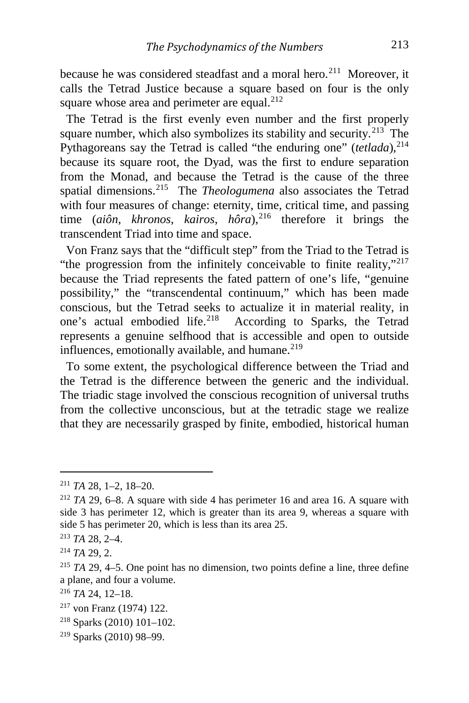because he was considered steadfast and a moral hero.<sup>[211](#page-23-0)</sup> Moreover, it calls the Tetrad Justice because a square based on four is the only square whose area and perimeter are equal. $^{212}$  $^{212}$  $^{212}$ 

 The Tetrad is the first evenly even number and the first properly square number, which also symbolizes its stability and security.<sup>[213](#page-23-2)</sup> The Pythagoreans say the Tetrad is called "the enduring one" (*tetlada*),<sup>[214](#page-23-3)</sup> because its square root, the Dyad, was the first to endure separation from the Monad, and because the Tetrad is the cause of the three spatial dimensions.[215](#page-23-4) The *Theologumena* also associates the Tetrad with four measures of change: eternity, time, critical time, and passing time (*aiôn*, *khronos*, *kairos*, *hôra*),<sup>[216](#page-23-5)</sup> therefore it brings the transcendent Triad into time and space.

 Von Franz says that the "difficult step" from the Triad to the Tetrad is "the progression from the infinitely conceivable to finite reality," $^{217}$  $^{217}$  $^{217}$ because the Triad represents the fated pattern of one's life, "genuine possibility," the "transcendental continuum," which has been made conscious, but the Tetrad seeks to actualize it in material reality, in one's actual embodied life.<sup>[218](#page-23-7)</sup> According to Sparks, the Tetrad represents a genuine selfhood that is accessible and open to outside influences, emotionally available, and humane. $219$ 

 To some extent, the psychological difference between the Triad and the Tetrad is the difference between the generic and the individual. The triadic stage involved the conscious recognition of universal truths from the collective unconscious, but at the tetradic stage we realize that they are necessarily grasped by finite, embodied, historical human

<span id="page-23-0"></span><sup>211</sup> *TA* 28, 1–2, 18–20.

<span id="page-23-1"></span><sup>212</sup> *TA* 29, 6–8. A square with side 4 has perimeter 16 and area 16. A square with side 3 has perimeter 12, which is greater than its area 9, whereas a square with side 5 has perimeter 20, which is less than its area 25.

<span id="page-23-2"></span><sup>213</sup> *TA* 28, 2–4.

<span id="page-23-3"></span><sup>214</sup> *TA* 29, 2.

<span id="page-23-4"></span><sup>215</sup> *TA* 29, 4–5. One point has no dimension, two points define a line, three define a plane, and four a volume.

<span id="page-23-5"></span><sup>216</sup> *TA* 24, 12–18.

<span id="page-23-6"></span><sup>217</sup> von Franz (1974) 122.

<span id="page-23-7"></span><sup>218</sup> Sparks (2010) 101–102.

<span id="page-23-8"></span><sup>219</sup> Sparks (2010) 98–99.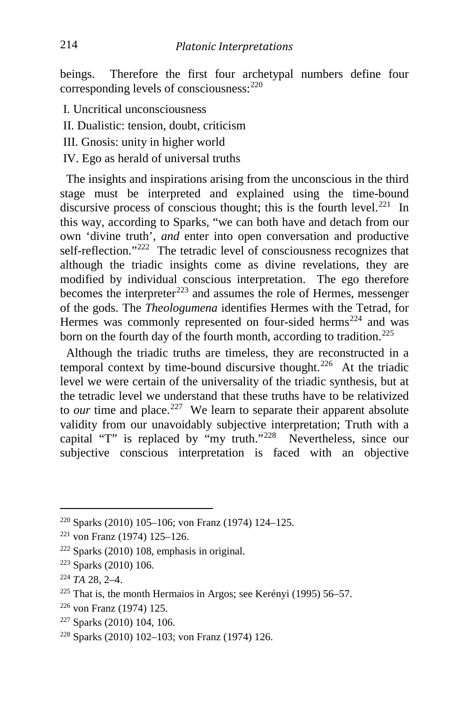beings. Therefore the first four archetypal numbers define four corresponding levels of consciousness: $220$ 

- I. Uncritical unconsciousness
- II. Dualistic: tension, doubt, criticism
- III. Gnosis: unity in higher world
- IV. Ego as herald of universal truths

 The insights and inspirations arising from the unconscious in the third stage must be interpreted and explained using the time-bound discursive process of conscious thought; this is the fourth level.<sup>221</sup> In this way, according to Sparks, "we can both have and detach from our own 'divine truth', *and* enter into open conversation and productive self-reflection."<sup>[222](#page-24-2)</sup> The tetradic level of consciousness recognizes that although the triadic insights come as divine revelations, they are modified by individual conscious interpretation. The ego therefore becomes the interpreter<sup>[223](#page-24-3)</sup> and assumes the role of Hermes, messenger of the gods. The *Theologumena* identifies Hermes with the Tetrad, for Hermes was commonly represented on four-sided herms<sup>[224](#page-24-4)</sup> and was born on the fourth day of the fourth month, according to tradition.<sup>[225](#page-24-5)</sup>

 Although the triadic truths are timeless, they are reconstructed in a temporal context by time-bound discursive thought.<sup>226</sup> At the triadic level we were certain of the universality of the triadic synthesis, but at the tetradic level we understand that these truths have to be relativized to *our* time and place.<sup>[227](#page-24-7)</sup> We learn to separate their apparent absolute validity from our unavoidably subjective interpretation; Truth with a capital "T" is replaced by "my truth."[228](#page-24-8) Nevertheless, since our subjective conscious interpretation is faced with an objective

<span id="page-24-0"></span><sup>220</sup> Sparks (2010) 105–106; von Franz (1974) 124–125.

<span id="page-24-1"></span><sup>221</sup> von Franz (1974) 125–126.

<span id="page-24-2"></span> $222$  Sparks (2010) 108, emphasis in original.

<span id="page-24-3"></span><sup>223</sup> Sparks (2010) 106.

<span id="page-24-4"></span><sup>224</sup> *TA* 28, 2–4.

<span id="page-24-5"></span><sup>225</sup> That is, the month Hermaios in Argos; see Kerényi (1995) 56–57.

<span id="page-24-6"></span><sup>226</sup> von Franz (1974) 125.

<span id="page-24-7"></span><sup>227</sup> Sparks (2010) 104, 106.

<span id="page-24-8"></span><sup>228</sup> Sparks (2010) 102–103; von Franz (1974) 126.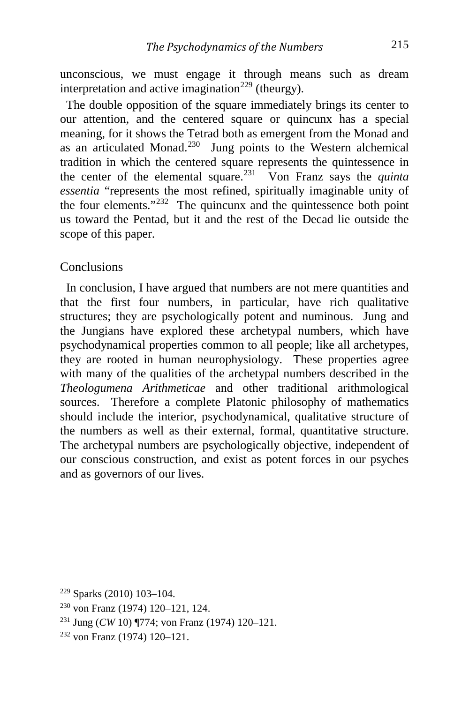unconscious, we must engage it through means such as dream interpretation and active imagination<sup>[229](#page-25-0)</sup> (theurgy).

 The double opposition of the square immediately brings its center to our attention, and the centered square or quincunx has a special meaning, for it shows the Tetrad both as emergent from the Monad and as an articulated Monad.[230](#page-25-1) Jung points to the Western alchemical tradition in which the centered square represents the quintessence in the center of the elemental square.[231](#page-25-2) Von Franz says the *quinta essentia* "represents the most refined, spiritually imaginable unity of the four elements."[232](#page-25-3) The quincunx and the quintessence both point us toward the Pentad, but it and the rest of the Decad lie outside the scope of this paper.

#### Conclusions

 In conclusion, I have argued that numbers are not mere quantities and that the first four numbers, in particular, have rich qualitative structures; they are psychologically potent and numinous. Jung and the Jungians have explored these archetypal numbers, which have psychodynamical properties common to all people; like all archetypes, they are rooted in human neurophysiology. These properties agree with many of the qualities of the archetypal numbers described in the *Theologumena Arithmeticae* and other traditional arithmological sources. Therefore a complete Platonic philosophy of mathematics should include the interior, psychodynamical, qualitative structure of the numbers as well as their external, formal, quantitative structure. The archetypal numbers are psychologically objective, independent of our conscious construction, and exist as potent forces in our psyches and as governors of our lives.

<span id="page-25-0"></span><sup>229</sup> Sparks (2010) 103–104.

<span id="page-25-1"></span><sup>230</sup> von Franz (1974) 120–121, 124.

<span id="page-25-2"></span><sup>231</sup> Jung (*CW* 10) ¶774; von Franz (1974) 120–121.

<span id="page-25-3"></span><sup>232</sup> von Franz (1974) 120–121.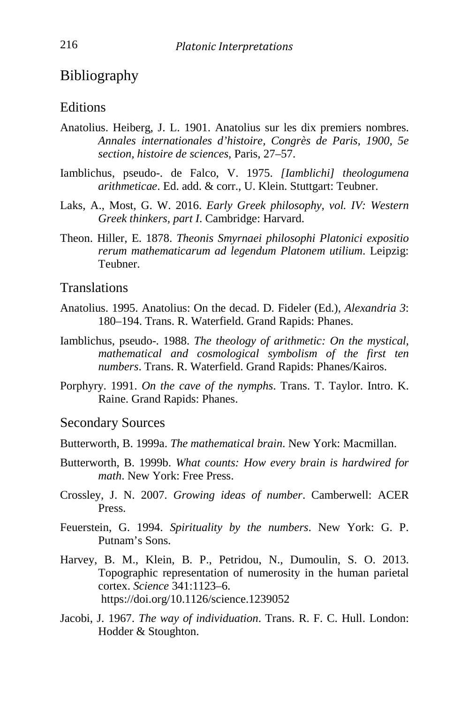### Bibliography

#### Editions

- Anatolius. Heiberg, J. L. 1901. Anatolius sur les dix premiers nombres. *Annales internationales d'histoire, Congrès de Paris, 1900, 5e section, histoire de sciences*, Paris, 27–57.
- Iamblichus, pseudo-. de Falco, V. 1975. *[Iamblichi] theologumena arithmeticae*. Ed. add. & corr., U. Klein. Stuttgart: Teubner.
- Laks, A., Most, G. W. 2016. *Early Greek philosophy, vol. IV: Western Greek thinkers, part I*. Cambridge: Harvard.
- Theon. Hiller, E. 1878. *Theonis Smyrnaei philosophi Platonici expositio rerum mathematicarum ad legendum Platonem utilium*. Leipzig: Teubner.

#### **Translations**

- Anatolius. 1995. Anatolius: On the decad. D. Fideler (Ed.), *Alexandria 3*: 180–194. Trans. R. Waterfield. Grand Rapids: Phanes.
- Iamblichus, pseudo-. 1988. *The theology of arithmetic: On the mystical, mathematical and cosmological symbolism of the first ten numbers*. Trans. R. Waterfield. Grand Rapids: Phanes/Kairos.
- Porphyry. 1991. *On the cave of the nymphs*. Trans. T. Taylor. Intro. K. Raine. Grand Rapids: Phanes.

Secondary Sources

- Butterworth, B. 1999a. *The mathematical brain*. New York: Macmillan.
- Butterworth, B. 1999b. *What counts: How every brain is hardwired for math*. New York: Free Press.
- Crossley, J. N. 2007. *Growing ideas of number*. Camberwell: ACER Press.
- Feuerstein, G. 1994. *Spirituality by the numbers*. New York: G. P. Putnam's Sons.
- Harvey, B. M., Klein, B. P., Petridou, N., Dumoulin, S. O. 2013. Topographic representation of numerosity in the human parietal cortex. *Science* 341:1123–6. <https://doi.org/10.1126/science.1239052>
- Jacobi, J. 1967. *The way of individuation*. Trans. R. F. C. Hull. London: Hodder & Stoughton.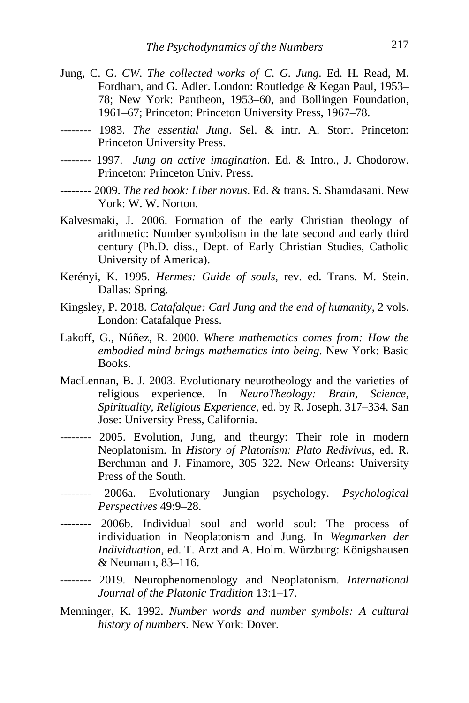- Jung, C. G. *CW*. *The collected works of C. G. Jung*. Ed. H. Read, M. Fordham, and G. Adler. London: Routledge & Kegan Paul, 1953– 78; New York: Pantheon, 1953–60, and Bollingen Foundation, 1961–67; Princeton: Princeton University Press, 1967–78.
- *--------* 1983. *The essential Jung*. Sel. & intr. A. Storr. Princeton: Princeton University Press.
- *--------* 1997. *Jung on active imagination*. Ed. & Intro., J. Chodorow. Princeton: Princeton Univ. Press.
- *--------* 2009. *The red book: Liber novus*. Ed. & trans. S. Shamdasani. New York: W. W. Norton.
- Kalvesmaki, J. 2006. Formation of the early Christian theology of arithmetic: Number symbolism in the late second and early third century (Ph.D. diss., Dept. of Early Christian Studies, Catholic University of America).
- Kerényi, K. 1995. *Hermes: Guide of souls*, rev. ed. Trans. M. Stein. Dallas: Spring.
- Kingsley, P. 2018. *Catafalque: Carl Jung and the end of humanity*, 2 vols. London: Catafalque Press.
- Lakoff, G., Núñez, R. 2000. *Where mathematics comes from: How the embodied mind brings mathematics into being*. New York: Basic Books.
- MacLennan, B. J. 2003. Evolutionary neurotheology and the varieties of religious experience. In *NeuroTheology: Brain, Science, Spirituality, Religious Experience*, ed. by R. Joseph, 317–334. San Jose: University Press, California.
- *--------* 2005. Evolution, Jung, and theurgy: Their role in modern Neoplatonism. In *History of Platonism: Plato Redivivus*, ed. R. Berchman and J. Finamore, 305–322. New Orleans: University Press of the South.
- *--------* 2006a. Evolutionary Jungian psychology. *Psychological Perspectives* 49:9–28.
- *--------* 2006b. Individual soul and world soul: The process of individuation in Neoplatonism and Jung. In *Wegmarken der Individuation*, ed. T. Arzt and A. Holm. Würzburg: Königshausen & Neumann, 83–116.
- *--------* 2019. Neurophenomenology and Neoplatonism. *International Journal of the Platonic Tradition* 13:1–17.
- Menninger, K. 1992. *Number words and number symbols: A cultural history of numbers*. New York: Dover.